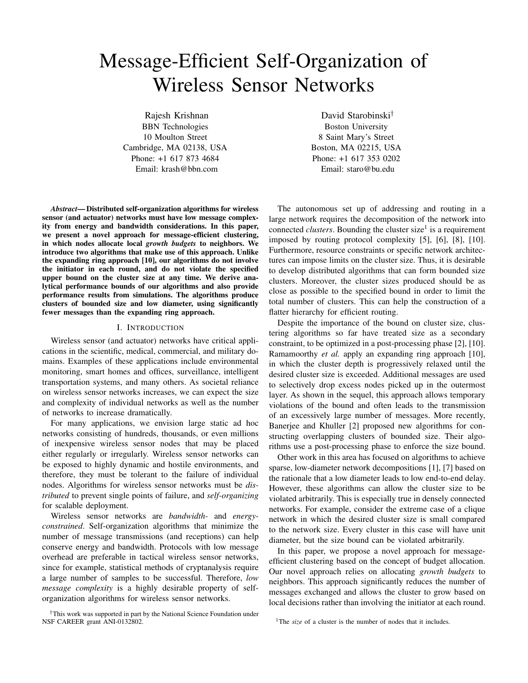# Message-Efficient Self-Organization of Wireless Sensor Networks

Rajesh Krishnan BBN Technologies 10 Moulton Street Cambridge, MA 02138, USA Phone: +1 617 873 4684 Email: krash@bbn.com

*Abstract***— Distributed self-organization algorithms for wireless sensor (and actuator) networks must have low message complexity from energy and bandwidth considerations. In this paper, we present a novel approach for message-efficient clustering, in which nodes allocate local** *growth budgets* **to neighbors. We introduce two algorithms that make use of this approach. Unlike the expanding ring approach [10], our algorithms do not involve the initiator in each round, and do not violate the specified upper bound on the cluster size at any time. We derive analytical performance bounds of our algorithms and also provide performance results from simulations. The algorithms produce clusters of bounded size and low diameter, using significantly fewer messages than the expanding ring approach.**

#### I. INTRODUCTION

Wireless sensor (and actuator) networks have critical applications in the scientific, medical, commercial, and military domains. Examples of these applications include environmental monitoring, smart homes and offices, surveillance, intelligent transportation systems, and many others. As societal reliance on wireless sensor networks increases, we can expect the size and complexity of individual networks as well as the number of networks to increase dramatically.

For many applications, we envision large static ad hoc networks consisting of hundreds, thousands, or even millions of inexpensive wireless sensor nodes that may be placed either regularly or irregularly. Wireless sensor networks can be exposed to highly dynamic and hostile environments, and therefore, they must be tolerant to the failure of individual nodes. Algorithms for wireless sensor networks must be *distributed* to prevent single points of failure, and *self-organizing* for scalable deployment.

Wireless sensor networks are *bandwidth-* and *energyconstrained*. Self-organization algorithms that minimize the number of message transmissions (and receptions) can help conserve energy and bandwidth. Protocols with low message overhead are preferable in tactical wireless sensor networks, since for example, statistical methods of cryptanalysis require a large number of samples to be successful. Therefore, *low message complexity* is a highly desirable property of selforganization algorithms for wireless sensor networks.

David Starobinski*†* Boston University 8 Saint Mary's Street Boston, MA 02215, USA Phone: +1 617 353 0202 Email: staro@bu.edu

The autonomous set up of addressing and routing in a large network requires the decomposition of the network into connected *clusters*. Bounding the cluster size<sup>1</sup> is a requirement imposed by routing protocol complexity [5], [6], [8], [10]. Furthermore, resource constraints or specific network architectures can impose limits on the cluster size. Thus, it is desirable to develop distributed algorithms that can form bounded size clusters. Moreover, the cluster sizes produced should be as close as possible to the specified bound in order to limit the total number of clusters. This can help the construction of a flatter hierarchy for efficient routing.

Despite the importance of the bound on cluster size, clustering algorithms so far have treated size as a secondary constraint, to be optimized in a post-processing phase [2], [10]. Ramamoorthy *et al.* apply an expanding ring approach [10], in which the cluster depth is progressively relaxed until the desired cluster size is exceeded. Additional messages are used to selectively drop excess nodes picked up in the outermost layer. As shown in the sequel, this approach allows temporary violations of the bound and often leads to the transmission of an excessively large number of messages. More recently, Banerjee and Khuller [2] proposed new algorithms for constructing overlapping clusters of bounded size. Their algorithms use a post-processing phase to enforce the size bound.

Other work in this area has focused on algorithms to achieve sparse, low-diameter network decompositions [1], [7] based on the rationale that a low diameter leads to low end-to-end delay. However, these algorithms can allow the cluster size to be violated arbitrarily. This is especially true in densely connected networks. For example, consider the extreme case of a clique network in which the desired cluster size is small compared to the network size. Every cluster in this case will have unit diameter, but the size bound can be violated arbitrarily.

In this paper, we propose a novel approach for messageefficient clustering based on the concept of budget allocation. Our novel approach relies on allocating *growth budgets* to neighbors. This approach significantly reduces the number of messages exchanged and allows the cluster to grow based on local decisions rather than involving the initiator at each round.

<sup>†</sup>This work was supported in part by the National Science Foundation under NSF CAREER grant ANI-0132802.

<sup>&</sup>lt;sup>1</sup>The *size* of a cluster is the number of nodes that it includes.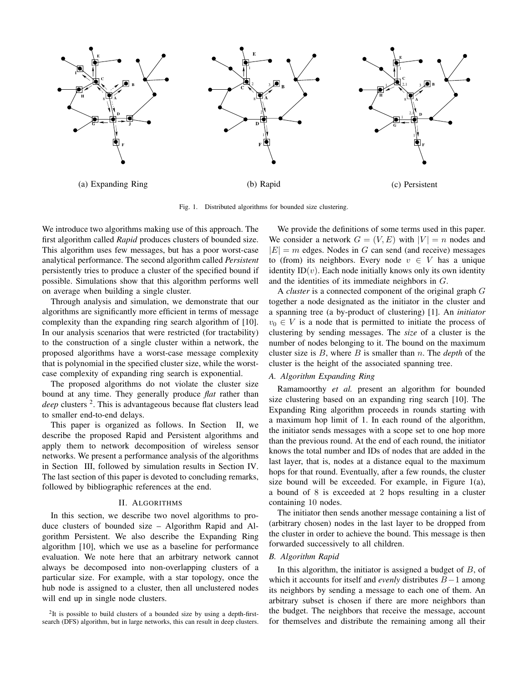

Fig. 1. Distributed algorithms for bounded size clustering.

We introduce two algorithms making use of this approach. The first algorithm called *Rapid* produces clusters of bounded size. This algorithm uses few messages, but has a poor worst-case analytical performance. The second algorithm called *Persistent* persistently tries to produce a cluster of the specified bound if possible. Simulations show that this algorithm performs well on average when building a single cluster.

Through analysis and simulation, we demonstrate that our algorithms are significantly more efficient in terms of message complexity than the expanding ring search algorithm of [10]. In our analysis scenarios that were restricted (for tractability) to the construction of a single cluster within a network, the proposed algorithms have a worst-case message complexity that is polynomial in the specified cluster size, while the worstcase complexity of expanding ring search is exponential.

The proposed algorithms do not violate the cluster size bound at any time. They generally produce *flat* rather than *deep* clusters <sup>2</sup>. This is advantageous because flat clusters lead to smaller end-to-end delays.

This paper is organized as follows. In Section II, we describe the proposed Rapid and Persistent algorithms and apply them to network decomposition of wireless sensor networks. We present a performance analysis of the algorithms in Section III, followed by simulation results in Section IV. The last section of this paper is devoted to concluding remarks, followed by bibliographic references at the end.

## II. ALGORITHMS

In this section, we describe two novel algorithms to produce clusters of bounded size – Algorithm Rapid and Algorithm Persistent. We also describe the Expanding Ring algorithm [10], which we use as a baseline for performance evaluation. We note here that an arbitrary network cannot always be decomposed into non-overlapping clusters of a particular size. For example, with a star topology, once the hub node is assigned to a cluster, then all unclustered nodes will end up in single node clusters.

 $2$ It is possible to build clusters of a bounded size by using a depth-firstsearch (DFS) algorithm, but in large networks, this can result in deep clusters.

We provide the definitions of some terms used in this paper. We consider a network  $G = (V, E)$  with  $|V| = n$  nodes and  $|E| = m$  edges. Nodes in G can send (and receive) messages to (from) its neighbors. Every node  $v \in V$  has a unique identity  $ID(v)$ . Each node initially knows only its own identity and the identities of its immediate neighbors in G.

A *cluster* is a connected component of the original graph G together a node designated as the initiator in the cluster and a spanning tree (a by-product of clustering) [1]. An *initiator*  $v_0 \in V$  is a node that is permitted to initiate the process of clustering by sending messages. The *size* of a cluster is the number of nodes belonging to it. The bound on the maximum cluster size is B, where B is smaller than n. The *depth* of the cluster is the height of the associated spanning tree.

# *A. Algorithm Expanding Ring*

Ramamoorthy *et al.* present an algorithm for bounded size clustering based on an expanding ring search [10]. The Expanding Ring algorithm proceeds in rounds starting with a maximum hop limit of 1. In each round of the algorithm, the initiator sends messages with a scope set to one hop more than the previous round. At the end of each round, the initiator knows the total number and IDs of nodes that are added in the last layer, that is, nodes at a distance equal to the maximum hops for that round. Eventually, after a few rounds, the cluster size bound will be exceeded. For example, in Figure 1(a), a bound of 8 is exceeded at 2 hops resulting in a cluster containing 10 nodes.

The initiator then sends another message containing a list of (arbitrary chosen) nodes in the last layer to be dropped from the cluster in order to achieve the bound. This message is then forwarded successively to all children.

### *B. Algorithm Rapid*

In this algorithm, the initiator is assigned a budget of  $B$ , of which it accounts for itself and *evenly* distributes B−1 among its neighbors by sending a message to each one of them. An arbitrary subset is chosen if there are more neighbors than the budget. The neighbors that receive the message, account for themselves and distribute the remaining among all their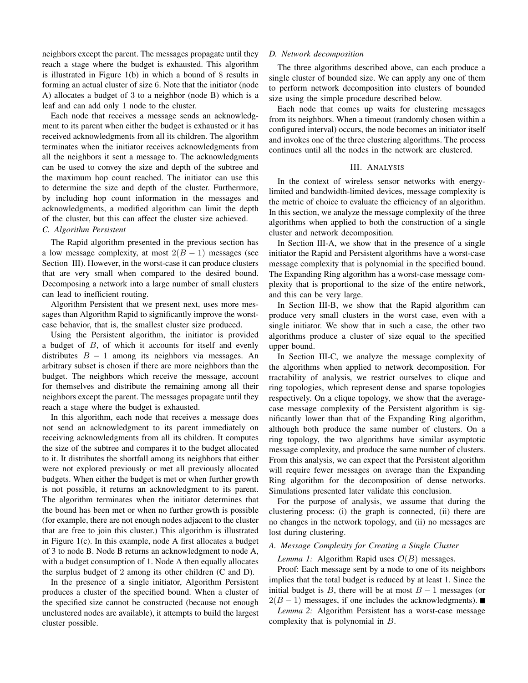neighbors except the parent. The messages propagate until they reach a stage where the budget is exhausted. This algorithm is illustrated in Figure 1(b) in which a bound of 8 results in forming an actual cluster of size 6. Note that the initiator (node A) allocates a budget of 3 to a neighbor (node B) which is a leaf and can add only 1 node to the cluster.

Each node that receives a message sends an acknowledgment to its parent when either the budget is exhausted or it has received acknowledgments from all its children. The algorithm terminates when the initiator receives acknowledgments from all the neighbors it sent a message to. The acknowledgments can be used to convey the size and depth of the subtree and the maximum hop count reached. The initiator can use this to determine the size and depth of the cluster. Furthermore, by including hop count information in the messages and acknowledgments, a modified algorithm can limit the depth of the cluster, but this can affect the cluster size achieved.

# *C. Algorithm Persistent*

The Rapid algorithm presented in the previous section has a low message complexity, at most  $2(B - 1)$  messages (see Section III). However, in the worst-case it can produce clusters that are very small when compared to the desired bound. Decomposing a network into a large number of small clusters can lead to inefficient routing.

Algorithm Persistent that we present next, uses more messages than Algorithm Rapid to significantly improve the worstcase behavior, that is, the smallest cluster size produced.

Using the Persistent algorithm, the initiator is provided a budget of B, of which it accounts for itself and evenly distributes  $B - 1$  among its neighbors via messages. An arbitrary subset is chosen if there are more neighbors than the budget. The neighbors which receive the message, account for themselves and distribute the remaining among all their neighbors except the parent. The messages propagate until they reach a stage where the budget is exhausted.

In this algorithm, each node that receives a message does not send an acknowledgment to its parent immediately on receiving acknowledgments from all its children. It computes the size of the subtree and compares it to the budget allocated to it. It distributes the shortfall among its neighbors that either were not explored previously or met all previously allocated budgets. When either the budget is met or when further growth is not possible, it returns an acknowledgment to its parent. The algorithm terminates when the initiator determines that the bound has been met or when no further growth is possible (for example, there are not enough nodes adjacent to the cluster that are free to join this cluster.) This algorithm is illustrated in Figure 1(c). In this example, node A first allocates a budget of 3 to node B. Node B returns an acknowledgment to node A, with a budget consumption of 1. Node A then equally allocates the surplus budget of 2 among its other children (C and D).

In the presence of a single initiator, Algorithm Persistent produces a cluster of the specified bound. When a cluster of the specified size cannot be constructed (because not enough unclustered nodes are available), it attempts to build the largest cluster possible.

#### *D. Network decomposition*

The three algorithms described above, can each produce a single cluster of bounded size. We can apply any one of them to perform network decomposition into clusters of bounded size using the simple procedure described below.

Each node that comes up waits for clustering messages from its neighbors. When a timeout (randomly chosen within a configured interval) occurs, the node becomes an initiator itself and invokes one of the three clustering algorithms. The process continues until all the nodes in the network are clustered.

## III. ANALYSIS

In the context of wireless sensor networks with energylimited and bandwidth-limited devices, message complexity is the metric of choice to evaluate the efficiency of an algorithm. In this section, we analyze the message complexity of the three algorithms when applied to both the construction of a single cluster and network decomposition.

In Section III-A, we show that in the presence of a single initiator the Rapid and Persistent algorithms have a worst-case message complexity that is polynomial in the specified bound. The Expanding Ring algorithm has a worst-case message complexity that is proportional to the size of the entire network, and this can be very large.

In Section III-B, we show that the Rapid algorithm can produce very small clusters in the worst case, even with a single initiator. We show that in such a case, the other two algorithms produce a cluster of size equal to the specified upper bound.

In Section III-C, we analyze the message complexity of the algorithms when applied to network decomposition. For tractability of analysis, we restrict ourselves to clique and ring topologies, which represent dense and sparse topologies respectively. On a clique topology, we show that the averagecase message complexity of the Persistent algorithm is significantly lower than that of the Expanding Ring algorithm, although both produce the same number of clusters. On a ring topology, the two algorithms have similar asymptotic message complexity, and produce the same number of clusters. From this analysis, we can expect that the Persistent algorithm will require fewer messages on average than the Expanding Ring algorithm for the decomposition of dense networks. Simulations presented later validate this conclusion.

For the purpose of analysis, we assume that during the clustering process: (i) the graph is connected, (ii) there are no changes in the network topology, and (ii) no messages are lost during clustering.

# *A. Message Complexity for Creating a Single Cluster*

*Lemma 1:* Algorithm Rapid uses  $O(B)$  messages.

Proof: Each message sent by a node to one of its neighbors implies that the total budget is reduced by at least 1. Since the initial budget is B, there will be at most  $B - 1$  messages (or  $2(B-1)$  messages, if one includes the acknowledgments).  $\blacksquare$ 

*Lemma 2:* Algorithm Persistent has a worst-case message complexity that is polynomial in B.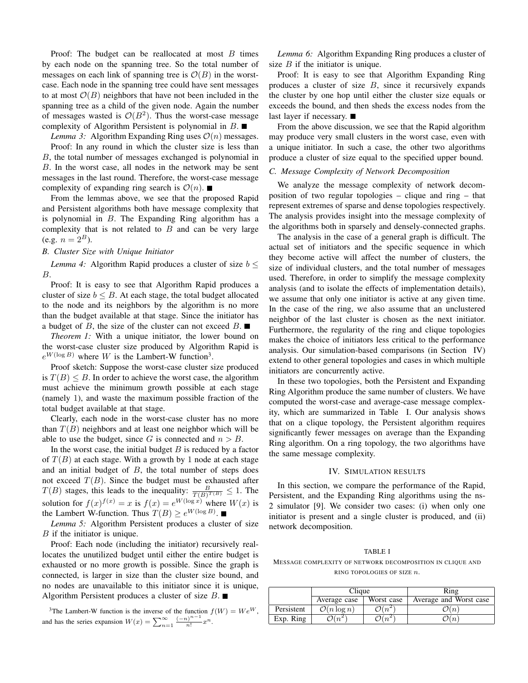Proof: The budget can be reallocated at most  $B$  times by each node on the spanning tree. So the total number of messages on each link of spanning tree is  $\mathcal{O}(B)$  in the worstcase. Each node in the spanning tree could have sent messages to at most  $\mathcal{O}(B)$  neighbors that have not been included in the spanning tree as a child of the given node. Again the number of messages wasted is  $\mathcal{O}(B^2)$ . Thus the worst-case message complexity of Algorithm Persistent is polynomial in  $B$ .

*Lemma 3:* Algorithm Expanding Ring uses  $\mathcal{O}(n)$  messages. Proof: In any round in which the cluster size is less than B, the total number of messages exchanged is polynomial in B. In the worst case, all nodes in the network may be sent messages in the last round. Therefore, the worst-case message complexity of expanding ring search is  $\mathcal{O}(n)$ .

From the lemmas above, we see that the proposed Rapid and Persistent algorithms both have message complexity that is polynomial in  $B$ . The Expanding Ring algorithm has a complexity that is not related to  $B$  and can be very large (e.g.  $n = 2^B$ ).

# *B. Cluster Size with Unique Initiator*

*Lemma 4:* Algorithm Rapid produces a cluster of size  $b \leq$ B.

Proof: It is easy to see that Algorithm Rapid produces a cluster of size  $b \leq B$ . At each stage, the total budget allocated to the node and its neighbors by the algorithm is no more than the budget available at that stage. Since the initiator has a budget of B, the size of the cluster can not exceed  $B$ .

*Theorem 1:* With a unique initiator, the lower bound on the worst-case cluster size produced by Algorithm Rapid is  $e^{W(\log B)}$  where W is the Lambert-W function<sup>3</sup>.

Proof sketch: Suppose the worst-case cluster size produced is  $T(B) \leq B$ . In order to achieve the worst case, the algorithm must achieve the minimum growth possible at each stage (namely 1), and waste the maximum possible fraction of the total budget available at that stage.

Clearly, each node in the worst-case cluster has no more than  $T(B)$  neighbors and at least one neighbor which will be able to use the budget, since G is connected and  $n > B$ .

In the worst case, the initial budget  $B$  is reduced by a factor of  $T(B)$  at each stage. With a growth by 1 node at each stage and an initial budget of  $B$ , the total number of steps does not exceed  $T(B)$ . Since the budget must be exhausted after  $T(B)$  stages, this leads to the inequality:  $\frac{B}{T(B)^{T(B)}} \leq 1$ . The solution for  $f(x)^{f(x)} = x$  is  $f(x) = e^{W(\log x)}$  where  $W(x)$  is the Lambert W-function. Thus  $T(B) \geq e^{W(\log B)}$ .

*Lemma 5:* Algorithm Persistent produces a cluster of size B if the initiator is unique.

Proof: Each node (including the initiator) recursively reallocates the unutilized budget until either the entire budget is exhausted or no more growth is possible. Since the graph is connected, is larger in size than the cluster size bound, and no nodes are unavailable to this initiator since it is unique, Algorithm Persistent produces a cluster of size  $B$ .

<sup>3</sup>The Lambert-W function is the inverse of the function  $f(W) = We^W$ , and has the series expansion  $W(x) = \sum_{n=1}^{\infty} \frac{(-n)^{n-1}}{n!} x^n$ .

*Lemma 6:* Algorithm Expanding Ring produces a cluster of size  $B$  if the initiator is unique.

Proof: It is easy to see that Algorithm Expanding Ring produces a cluster of size  $B$ , since it recursively expands the cluster by one hop until either the cluster size equals or exceeds the bound, and then sheds the excess nodes from the last layer if necessary. ■

From the above discussion, we see that the Rapid algorithm may produce very small clusters in the worst case, even with a unique initiator. In such a case, the other two algorithms produce a cluster of size equal to the specified upper bound.

# *C. Message Complexity of Network Decomposition*

We analyze the message complexity of network decomposition of two regular topologies – clique and ring – that represent extremes of sparse and dense topologies respectively. The analysis provides insight into the message complexity of the algorithms both in sparsely and densely-connected graphs.

The analysis in the case of a general graph is difficult. The actual set of initiators and the specific sequence in which they become active will affect the number of clusters, the size of individual clusters, and the total number of messages used. Therefore, in order to simplify the message complexity analysis (and to isolate the effects of implementation details), we assume that only one initiator is active at any given time. In the case of the ring, we also assume that an unclustered neighbor of the last cluster is chosen as the next initiator. Furthermore, the regularity of the ring and clique topologies makes the choice of initiators less critical to the performance analysis. Our simulation-based comparisons (in Section IV) extend to other general topologies and cases in which multiple initiators are concurrently active.

In these two topologies, both the Persistent and Expanding Ring Algorithm produce the same number of clusters. We have computed the worst-case and average-case message complexity, which are summarized in Table I. Our analysis shows that on a clique topology, the Persistent algorithm requires significantly fewer messages on average than the Expanding Ring algorithm. On a ring topology, the two algorithms have the same message complexity.

### IV. SIMULATION RESULTS

In this section, we compare the performance of the Rapid, Persistent, and the Expanding Ring algorithms using the ns-2 simulator [9]. We consider two cases: (i) when only one initiator is present and a single cluster is produced, and (ii) network decomposition.

## TABLE I

MESSAGE COMPLEXITY OF NETWORK DECOMPOSITION IN CLIQUE AND RING TOPOLOGIES OF SIZE n.

|            | Clique                  |                  | Ring                   |
|------------|-------------------------|------------------|------------------------|
|            | Average case            | Worst case       | Average and Worst case |
| Persistent | $\mathcal{O}(n \log n)$ | $\mathcal{O}(n)$ | (n)                    |
| Exp. Ring  |                         |                  | $n_{\cdot}$            |
|            |                         |                  |                        |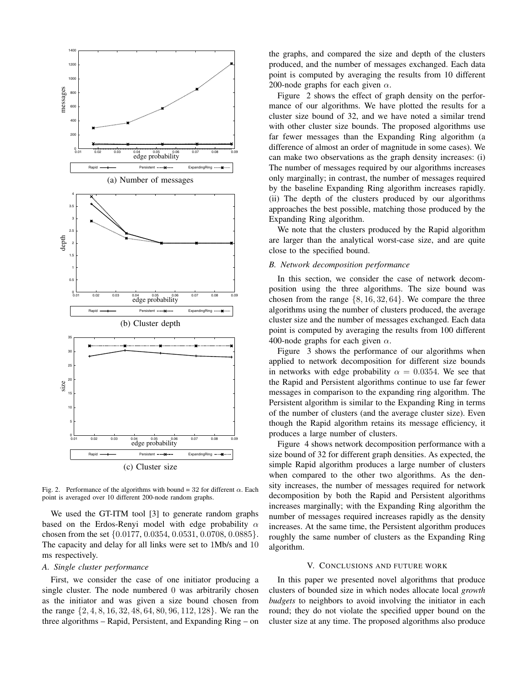

Fig. 2. Performance of the algorithms with bound = 32 for different  $\alpha$ . Each point is averaged over 10 different 200-node random graphs.

We used the GT-ITM tool [3] to generate random graphs based on the Erdos-Renyi model with edge probability  $\alpha$ chosen from the set {0.0177, 0.0354, 0.0531, 0.0708, 0.0885}. The capacity and delay for all links were set to 1Mb/s and 10 ms respectively.

### *A. Single cluster performance*

First, we consider the case of one initiator producing a single cluster. The node numbered 0 was arbitrarily chosen as the initiator and was given a size bound chosen from the range {2, 4, 8, 16, 32, 48, 64, 80, 96, 112, 128}. We ran the three algorithms – Rapid, Persistent, and Expanding Ring – on the graphs, and compared the size and depth of the clusters produced, and the number of messages exchanged. Each data point is computed by averaging the results from 10 different 200-node graphs for each given  $\alpha$ .

Figure 2 shows the effect of graph density on the performance of our algorithms. We have plotted the results for a cluster size bound of 32, and we have noted a similar trend with other cluster size bounds. The proposed algorithms use far fewer messages than the Expanding Ring algorithm (a difference of almost an order of magnitude in some cases). We can make two observations as the graph density increases: (i) The number of messages required by our algorithms increases only marginally; in contrast, the number of messages required by the baseline Expanding Ring algorithm increases rapidly. (ii) The depth of the clusters produced by our algorithms approaches the best possible, matching those produced by the Expanding Ring algorithm.

We note that the clusters produced by the Rapid algorithm are larger than the analytical worst-case size, and are quite close to the specified bound.

## *B. Network decomposition performance*

In this section, we consider the case of network decomposition using the three algorithms. The size bound was chosen from the range  $\{8, 16, 32, 64\}$ . We compare the three algorithms using the number of clusters produced, the average cluster size and the number of messages exchanged. Each data point is computed by averaging the results from 100 different 400-node graphs for each given  $\alpha$ .

Figure 3 shows the performance of our algorithms when applied to network decomposition for different size bounds in networks with edge probability  $\alpha = 0.0354$ . We see that the Rapid and Persistent algorithms continue to use far fewer messages in comparison to the expanding ring algorithm. The Persistent algorithm is similar to the Expanding Ring in terms of the number of clusters (and the average cluster size). Even though the Rapid algorithm retains its message efficiency, it produces a large number of clusters.

Figure 4 shows network decomposition performance with a size bound of 32 for different graph densities. As expected, the simple Rapid algorithm produces a large number of clusters when compared to the other two algorithms. As the density increases, the number of messages required for network decomposition by both the Rapid and Persistent algorithms increases marginally; with the Expanding Ring algorithm the number of messages required increases rapidly as the density increases. At the same time, the Persistent algorithm produces roughly the same number of clusters as the Expanding Ring algorithm.

#### V. CONCLUSIONS AND FUTURE WORK

In this paper we presented novel algorithms that produce clusters of bounded size in which nodes allocate local *growth budgets* to neighbors to avoid involving the initiator in each round; they do not violate the specified upper bound on the cluster size at any time. The proposed algorithms also produce